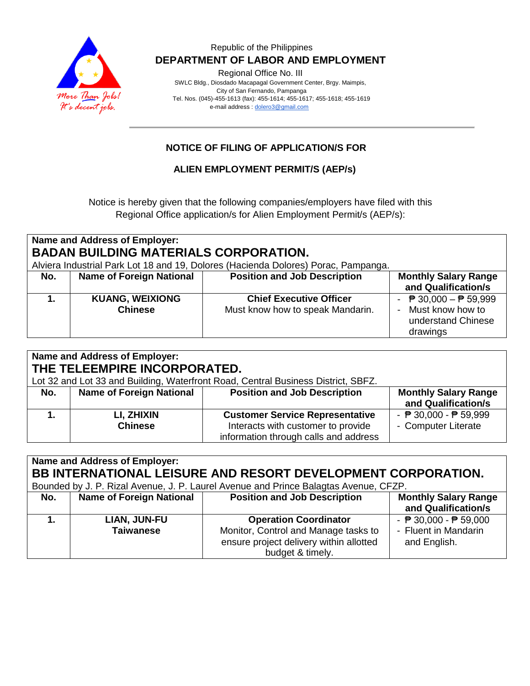

#### Republic of the Philippines  **DEPARTMENT OF LABOR AND EMPLOYMENT**

Regional Office No. III

 SWLC Bldg., Diosdado Macapagal Government Center, Brgy. Maimpis, City of San Fernando, Pampanga Tel. Nos. (045)-455-1613 (fax): 455-1614; 455-1617; 455-1618; 455-1619 e-mail address [: dolero3@gmail.com](mailto:dolero3@gmail.com)

## **NOTICE OF FILING OF APPLICATION/S FOR**

**ALIEN EMPLOYMENT PERMIT/S (AEP/s)**

Notice is hereby given that the following companies/employers have filed with this Regional Office application/s for Alien Employment Permit/s (AEP/s):

| Name and Address of Employer:<br><b>BADAN BUILDING MATERIALS CORPORATION.</b><br>Alviera Industrial Park Lot 18 and 19, Dolores (Hacienda Dolores) Porac, Pampanga. |                                          |                                                                    |                                                                                                         |  |  |  |
|---------------------------------------------------------------------------------------------------------------------------------------------------------------------|------------------------------------------|--------------------------------------------------------------------|---------------------------------------------------------------------------------------------------------|--|--|--|
| No.                                                                                                                                                                 | <b>Name of Foreign National</b>          | <b>Position and Job Description</b>                                | <b>Monthly Salary Range</b><br>and Qualification/s                                                      |  |  |  |
|                                                                                                                                                                     | <b>KUANG, WEIXIONG</b><br><b>Chinese</b> | <b>Chief Executive Officer</b><br>Must know how to speak Mandarin. | - $\overline{P}$ 30,000 - $\overline{P}$ 59,999<br>- Must know how to<br>understand Chinese<br>drawings |  |  |  |

| Name and Address of Employer:<br>THE TELEEMPIRE INCORPORATED.<br>Lot 32 and Lot 33 and Building, Waterfront Road, Central Business District, SBFZ. |                                 |                                                                                                                       |                                                                        |  |  |  |
|----------------------------------------------------------------------------------------------------------------------------------------------------|---------------------------------|-----------------------------------------------------------------------------------------------------------------------|------------------------------------------------------------------------|--|--|--|
| No.                                                                                                                                                | <b>Name of Foreign National</b> | <b>Position and Job Description</b>                                                                                   | <b>Monthly Salary Range</b><br>and Qualification/s                     |  |  |  |
|                                                                                                                                                    | LI, ZHIXIN<br><b>Chinese</b>    | <b>Customer Service Representative</b><br>Interacts with customer to provide<br>information through calls and address | - $\overline{P}$ 30,000 - $\overline{P}$ 59,999<br>- Computer Literate |  |  |  |

| Name and Address of Employer:<br>BB INTERNATIONAL LEISURE AND RESORT DEVELOPMENT CORPORATION.<br>Bounded by J. P. Rizal Avenue, J. P. Laurel Avenue and Prince Balagtas Avenue, CFZP. |                                  |                                                                                                                                     |                                                                                         |  |  |  |
|---------------------------------------------------------------------------------------------------------------------------------------------------------------------------------------|----------------------------------|-------------------------------------------------------------------------------------------------------------------------------------|-----------------------------------------------------------------------------------------|--|--|--|
| No.                                                                                                                                                                                   | <b>Name of Foreign National</b>  | <b>Position and Job Description</b>                                                                                                 | <b>Monthly Salary Range</b><br>and Qualification/s                                      |  |  |  |
|                                                                                                                                                                                       | LIAN, JUN-FU<br><b>Taiwanese</b> | <b>Operation Coordinator</b><br>Monitor, Control and Manage tasks to<br>ensure project delivery within allotted<br>budget & timely. | - $\overline{P}$ 30,000 - $\overline{P}$ 59,000<br>- Fluent in Mandarin<br>and English. |  |  |  |